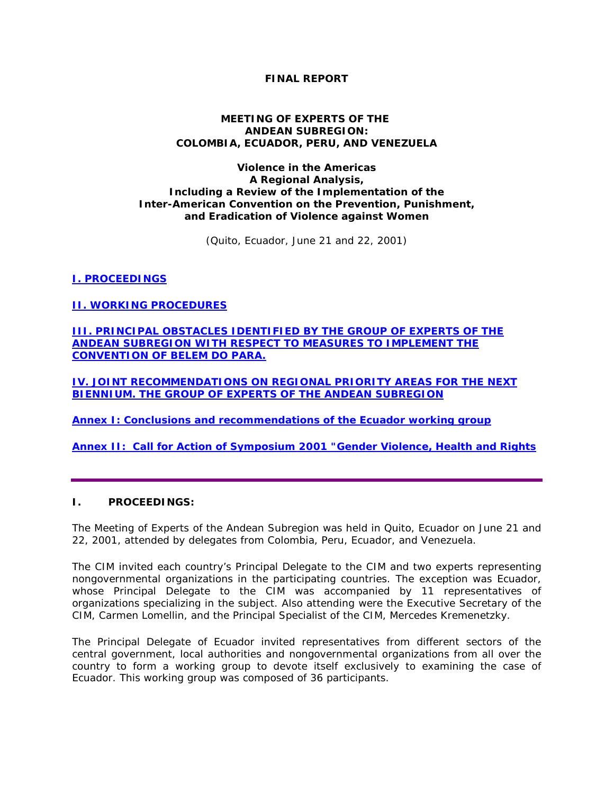### **FINAL REPORT**

#### **MEETING OF EXPERTS OF THE ANDEAN SUBREGION: COLOMBIA, ECUADOR, PERU, AND VENEZUELA**

#### **Violence in the Americas A Regional Analysis, Including a Review of the Implementation of the** *Inter-American Convention on the Prevention, Punishment, and Eradication of Violence against Women*

(Quito, Ecuador, June 21 and 22, 2001)

# *I. PROCEEDINGS*

*[II. WORKING PROCEDURES](http://www.oas.org/cim/english/Viol.subregional.ECUA.htm#2)*

*[III. PRINCIPAL OBSTACLES IDENTIFIED BY THE GROUP OF EXPERTS OF THE](http://www.oas.org/cim/english/Viol.subregional.ECUA.htm#3)  [ANDEAN SUBREGION WITH RESPECT TO MEASURES TO IMPLEMENT THE](http://www.oas.org/cim/english/Viol.subregional.ECUA.htm#3)  [CONVENTION OF BELEM DO PARA.](http://www.oas.org/cim/english/Viol.subregional.ECUA.htm#3)*

*[IV. JOINT RECOMMENDATIONS ON REGIONAL PRIORITY AREAS FOR THE NEXT](http://www.oas.org/cim/english/Viol.subregional.ECUA.htm#4)  [BIENNIUM. THE GROUP OF EXPERTS OF THE ANDEAN SUBREGION](http://www.oas.org/cim/english/Viol.subregional.ECUA.htm#4)*

**[Annex I: Conclusions and recommendations of the Ecuador working group](http://www.oas.org/cim/english/Viol.subregional.ECUA.ATT1.htm)**

**Annex II: Call for Action of Symposium 2001** *["Gender Violence, Health and Rights](http://www.oas.org/cim/english/Viol.subregional.ECUA.ATT2.htm)*

### **I. PROCEEDINGS:**

The Meeting of Experts of the Andean Subregion was held in Quito, Ecuador on June 21 and 22, 2001, attended by delegates from Colombia, Peru, Ecuador, and Venezuela.

The CIM invited each country's Principal Delegate to the CIM and two experts representing nongovernmental organizations in the participating countries. The exception was Ecuador, whose Principal Delegate to the CIM was accompanied by 11 representatives of organizations specializing in the subject. Also attending were the Executive Secretary of the CIM, Carmen Lomellin, and the Principal Specialist of the CIM, Mercedes Kremenetzky.

The Principal Delegate of Ecuador invited representatives from different sectors of the central government, local authorities and nongovernmental organizations from all over the country to form a working group to devote itself exclusively to examining the case of Ecuador. This working group was composed of 36 participants.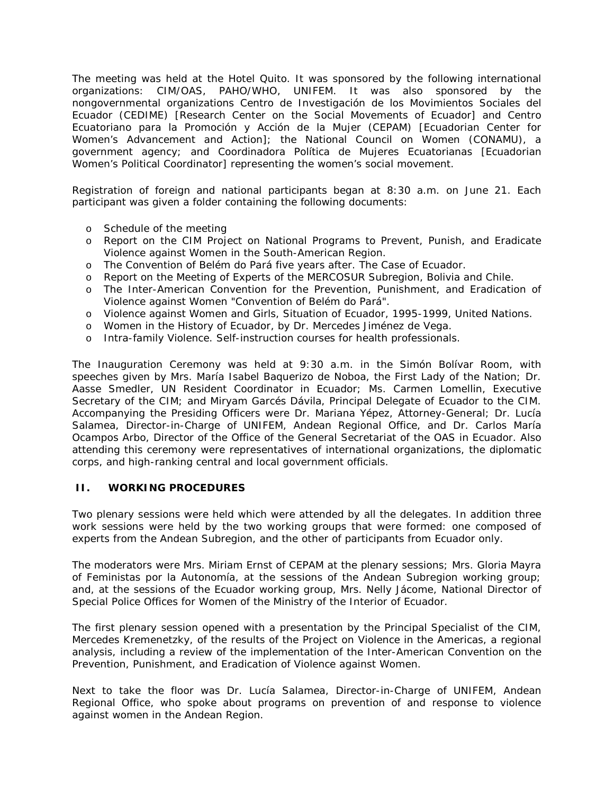The meeting was held at the Hotel Quito. It was sponsored by the following international organizations: CIM/OAS, PAHO/WHO, UNIFEM. It was also sponsored by the nongovernmental organizations *Centro de Investigación de los Movimientos Sociales del Ecuador* (CEDIME) [Research Center on the Social Movements of Ecuador] and *Centro Ecuatoriano para la Promoción y Acción de la Mujer* (CEPAM) [Ecuadorian Center for Women's Advancement and Action]; the National Council on Women (CONAMU), a government agency; and *Coordinadora Política de Mujeres Ecuatorianas* [Ecuadorian Women's Political Coordinator] representing the women's social movement.

Registration of foreign and national participants began at 8:30 a.m. on June 21. Each participant was given a folder containing the following documents:

- o Schedule of the meeting
- o Report on the CIM Project on National Programs to Prevent, Punish, and Eradicate Violence against Women in the South-American Region.
- o The Convention of Belém do Pará five years after. The Case of Ecuador.
- o Report on the Meeting of Experts of the MERCOSUR Subregion, Bolivia and Chile.
- o The Inter-American Convention for the Prevention, Punishment, and Eradication of Violence against Women "Convention of Belém do Pará".
- o Violence against Women and Girls, Situation of Ecuador, 1995-1999, United Nations.
- o Women in the History of Ecuador, by Dr. Mercedes Jiménez de Vega.
- o Intra-family Violence. Self-instruction courses for health professionals.

The Inauguration Ceremony was held at 9:30 a.m. in the Simón Bolívar Room, with speeches given by Mrs. María Isabel Baquerizo de Noboa, the First Lady of the Nation; Dr. Aasse Smedler, UN Resident Coordinator in Ecuador; Ms. Carmen Lomellin, Executive Secretary of the CIM; and Miryam Garcés Dávila, Principal Delegate of Ecuador to the CIM. Accompanying the Presiding Officers were Dr. Mariana Yépez, Attorney-General; Dr. Lucía Salamea, Director-in-Charge of UNIFEM, Andean Regional Office, and Dr. Carlos María Ocampos Arbo, Director of the Office of the General Secretariat of the OAS in Ecuador. Also attending this ceremony were representatives of international organizations, the diplomatic corps, and high-ranking central and local government officials.

#### **II. WORKING PROCEDURES**

Two plenary sessions were held which were attended by all the delegates. In addition three work sessions were held by the two working groups that were formed: one composed of experts from the Andean Subregion, and the other of participants from Ecuador only.

The moderators were Mrs. Miriam Ernst of CEPAM at the plenary sessions; Mrs. Gloria Mayra of *Feministas por la Autonomía*, at the sessions of the Andean Subregion working group; and, at the sessions of the Ecuador working group, Mrs. Nelly Jácome, National Director of Special Police Offices for Women of the Ministry of the Interior of Ecuador.

The first plenary session opened with a presentation by the Principal Specialist of the CIM, Mercedes Kremenetzky, of the results of the Project on Violence in the Americas, a regional analysis, including a review of the implementation of the Inter-American Convention on the Prevention, Punishment, and Eradication of Violence against Women.

Next to take the floor was Dr. Lucía Salamea, Director-in-Charge of UNIFEM, Andean Regional Office, who spoke about programs on prevention of and response to violence against women in the Andean Region.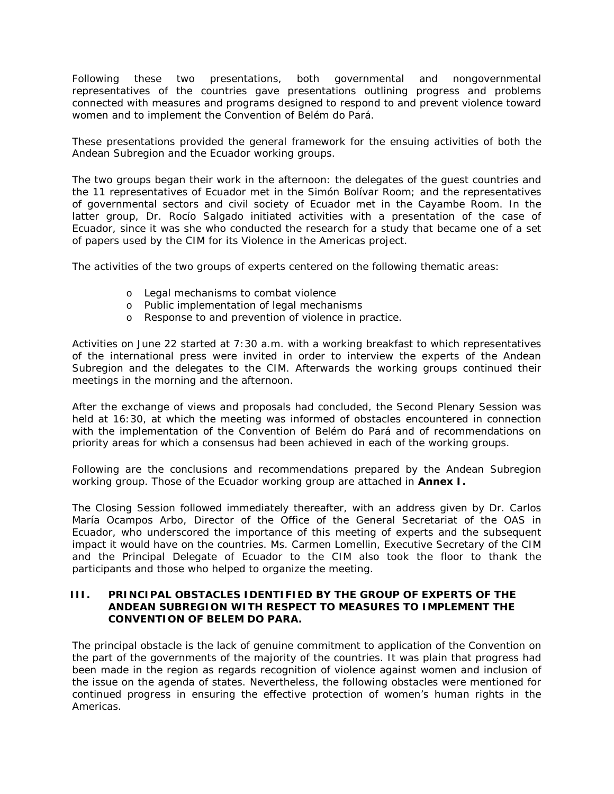Following these two presentations, both governmental and nongovernmental representatives of the countries gave presentations outlining progress and problems connected with measures and programs designed to respond to and prevent violence toward women and to implement the Convention of Belém do Pará.

These presentations provided the general framework for the ensuing activities of both the Andean Subregion and the Ecuador working groups.

The two groups began their work in the afternoon: the delegates of the guest countries and the 11 representatives of Ecuador met in the Simón Bolívar Room; and the representatives of governmental sectors and civil society of Ecuador met in the Cayambe Room. In the latter group, Dr. Rocío Salgado initiated activities with a presentation of the case of Ecuador, since it was she who conducted the research for a study that became one of a set of papers used by the CIM for its Violence in the Americas project.

The activities of the two groups of experts centered on the following thematic areas:

- o Legal mechanisms to combat violence
- o Public implementation of legal mechanisms
- o Response to and prevention of violence in practice.

Activities on June 22 started at 7:30 a.m. with a working breakfast to which representatives of the international press were invited in order to interview the experts of the Andean Subregion and the delegates to the CIM. Afterwards the working groups continued their meetings in the morning and the afternoon.

After the exchange of views and proposals had concluded, the Second Plenary Session was held at 16:30, at which the meeting was informed of obstacles encountered in connection with the implementation of the Convention of Belém do Pará and of recommendations on priority areas for which a consensus had been achieved in each of the working groups.

Following are the conclusions and recommendations prepared by the Andean Subregion working group. Those of the Ecuador working group are attached in **Annex I.**

The Closing Session followed immediately thereafter, with an address given by Dr. Carlos María Ocampos Arbo, Director of the Office of the General Secretariat of the OAS in Ecuador, who underscored the importance of this meeting of experts and the subsequent impact it would have on the countries. Ms. Carmen Lomellin, Executive Secretary of the CIM and the Principal Delegate of Ecuador to the CIM also took the floor to thank the participants and those who helped to organize the meeting.

#### **III. PRINCIPAL OBSTACLES IDENTIFIED BY THE GROUP OF EXPERTS OF THE ANDEAN SUBREGION WITH RESPECT TO MEASURES TO IMPLEMENT THE CONVENTION OF BELEM DO PARA.**

The principal obstacle is the lack of genuine commitment to application of the Convention on the part of the governments of the majority of the countries. It was plain that progress had been made in the region as regards recognition of violence against women and inclusion of the issue on the agenda of states. Nevertheless, the following obstacles were mentioned for continued progress in ensuring the effective protection of women's human rights in the Americas.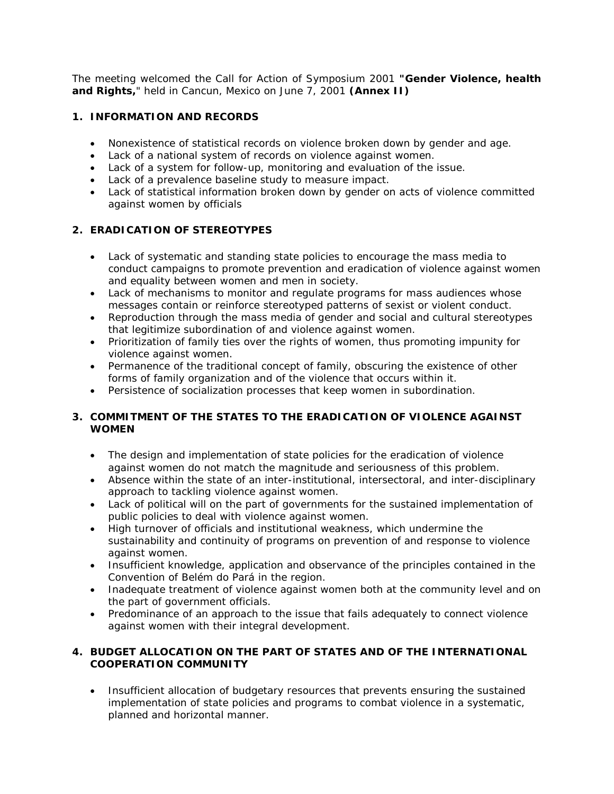The meeting welcomed the Call for Action of Symposium 2001 *"Gender Violence, health and Rights,*" held in Cancun, Mexico on June 7, 2001 **(Annex II)**

## **1. INFORMATION AND RECORDS**

- Nonexistence of statistical records on violence broken down by gender and age.
- Lack of a national system of records on violence against women.
- Lack of a system for follow-up, monitoring and evaluation of the issue.
- Lack of a prevalence baseline study to measure impact.
- Lack of statistical information broken down by gender on acts of violence committed against women by officials

# **2. ERADICATION OF STEREOTYPES**

- Lack of systematic and standing state policies to encourage the mass media to conduct campaigns to promote prevention and eradication of violence against women and equality between women and men in society.
- Lack of mechanisms to monitor and regulate programs for mass audiences whose messages contain or reinforce stereotyped patterns of sexist or violent conduct.
- Reproduction through the mass media of gender and social and cultural stereotypes that legitimize subordination of and violence against women.
- Prioritization of family ties over the rights of women, thus promoting impunity for violence against women.
- Permanence of the traditional concept of family, obscuring the existence of other forms of family organization and of the violence that occurs within it.
- Persistence of socialization processes that keep women in subordination.

# **3. COMMITMENT OF THE STATES TO THE ERADICATION OF VIOLENCE AGAINST WOMEN**

- The design and implementation of state policies for the eradication of violence against women do not match the magnitude and seriousness of this problem.
- Absence within the state of an inter-institutional, intersectoral, and inter-disciplinary approach to tackling violence against women.
- Lack of political will on the part of governments for the sustained implementation of public policies to deal with violence against women.
- High turnover of officials and institutional weakness, which undermine the sustainability and continuity of programs on prevention of and response to violence against women.
- Insufficient knowledge, application and observance of the principles contained in the Convention of Belém do Pará in the region.
- Inadequate treatment of violence against women both at the community level and on the part of government officials.
- Predominance of an approach to the issue that fails adequately to connect violence against women with their integral development.

### **4. BUDGET ALLOCATION ON THE PART OF STATES AND OF THE INTERNATIONAL COOPERATION COMMUNITY**

• Insufficient allocation of budgetary resources that prevents ensuring the sustained implementation of state policies and programs to combat violence in a systematic, planned and horizontal manner.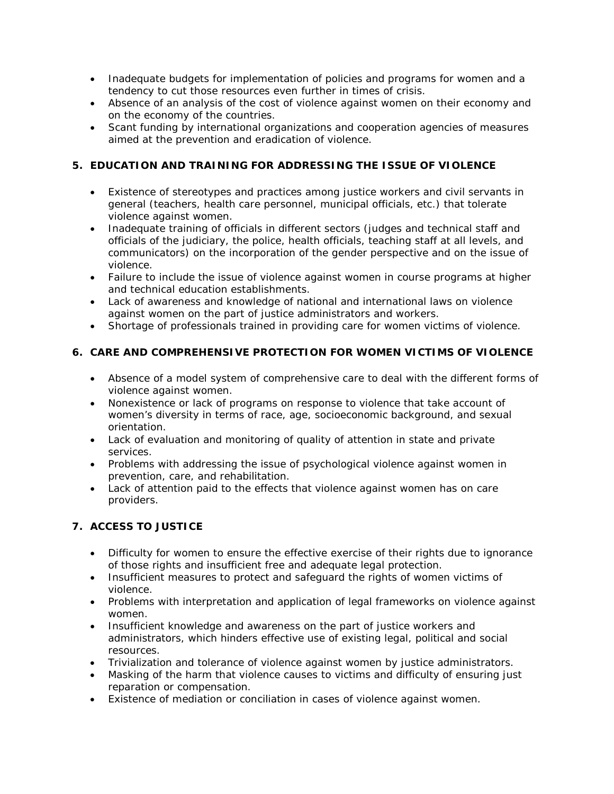- Inadequate budgets for implementation of policies and programs for women and a tendency to cut those resources even further in times of crisis.
- Absence of an analysis of the cost of violence against women on their economy and on the economy of the countries.
- Scant funding by international organizations and cooperation agencies of measures aimed at the prevention and eradication of violence.

# **5. EDUCATION AND TRAINING FOR ADDRESSING THE ISSUE OF VIOLENCE**

- Existence of stereotypes and practices among justice workers and civil servants in general (teachers, health care personnel, municipal officials, etc.) that tolerate violence against women.
- Inadequate training of officials in different sectors (judges and technical staff and officials of the judiciary, the police, health officials, teaching staff at all levels, and communicators) on the incorporation of the gender perspective and on the issue of violence.
- Failure to include the issue of violence against women in course programs at higher and technical education establishments.
- Lack of awareness and knowledge of national and international laws on violence against women on the part of justice administrators and workers.
- Shortage of professionals trained in providing care for women victims of violence.

# **6. CARE AND COMPREHENSIVE PROTECTION FOR WOMEN VICTIMS OF VIOLENCE**

- Absence of a model system of comprehensive care to deal with the different forms of violence against women.
- Nonexistence or lack of programs on response to violence that take account of women's diversity in terms of race, age, socioeconomic background, and sexual orientation.
- Lack of evaluation and monitoring of quality of attention in state and private services.
- Problems with addressing the issue of psychological violence against women in prevention, care, and rehabilitation.
- Lack of attention paid to the effects that violence against women has on care providers.

# **7. ACCESS TO JUSTICE**

- Difficulty for women to ensure the effective exercise of their rights due to ignorance of those rights and insufficient free and adequate legal protection.
- Insufficient measures to protect and safeguard the rights of women victims of violence.
- Problems with interpretation and application of legal frameworks on violence against women.
- Insufficient knowledge and awareness on the part of justice workers and administrators, which hinders effective use of existing legal, political and social resources.
- Trivialization and tolerance of violence against women by justice administrators.
- Masking of the harm that violence causes to victims and difficulty of ensuring just reparation or compensation.
- Existence of mediation or conciliation in cases of violence against women.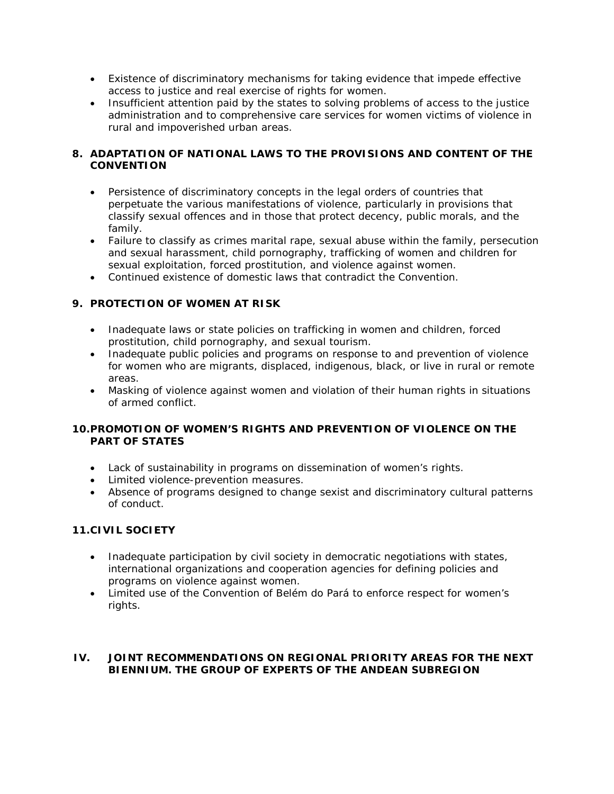- Existence of discriminatory mechanisms for taking evidence that impede effective access to justice and real exercise of rights for women.
- Insufficient attention paid by the states to solving problems of access to the justice administration and to comprehensive care services for women victims of violence in rural and impoverished urban areas.

### **8. ADAPTATION OF NATIONAL LAWS TO THE PROVISIONS AND CONTENT OF THE CONVENTION**

- Persistence of discriminatory concepts in the legal orders of countries that perpetuate the various manifestations of violence, particularly in provisions that classify sexual offences and in those that protect decency, public morals, and the family.
- Failure to classify as crimes marital rape, sexual abuse within the family, persecution and sexual harassment, child pornography, trafficking of women and children for sexual exploitation, forced prostitution, and violence against women.
- Continued existence of domestic laws that contradict the Convention.

### **9. PROTECTION OF WOMEN AT RISK**

- Inadequate laws or state policies on trafficking in women and children, forced prostitution, child pornography, and sexual tourism.
- Inadequate public policies and programs on response to and prevention of violence for women who are migrants, displaced, indigenous, black, or live in rural or remote areas.
- Masking of violence against women and violation of their human rights in situations of armed conflict.

### **10.PROMOTION OF WOMEN'S RIGHTS AND PREVENTION OF VIOLENCE ON THE PART OF STATES**

- Lack of sustainability in programs on dissemination of women's rights.
- Limited violence-prevention measures.
- Absence of programs designed to change sexist and discriminatory cultural patterns of conduct.

# **11.CIVIL SOCIETY**

- Inadequate participation by civil society in democratic negotiations with states, international organizations and cooperation agencies for defining policies and programs on violence against women.
- Limited use of the Convention of Belém do Pará to enforce respect for women's rights.

### **IV. JOINT RECOMMENDATIONS ON REGIONAL PRIORITY AREAS FOR THE NEXT BIENNIUM. THE GROUP OF EXPERTS OF THE ANDEAN SUBREGION**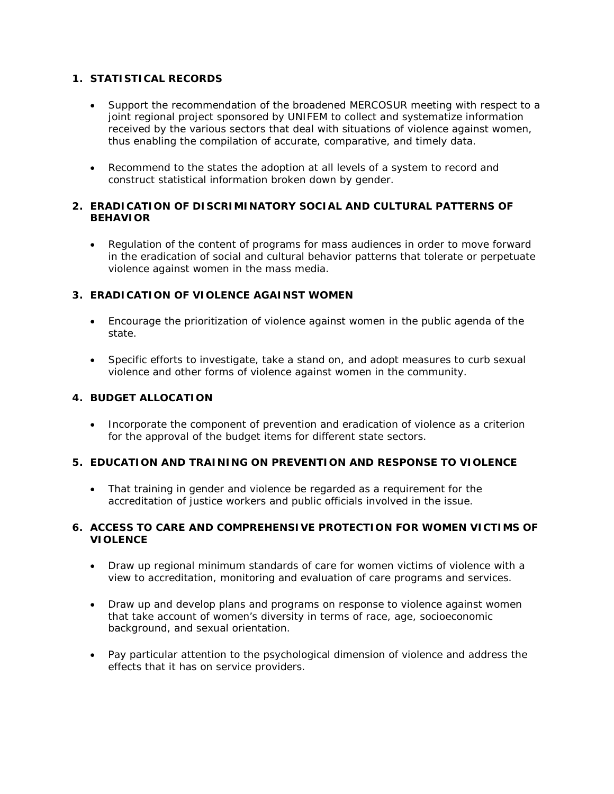### **1. STATISTICAL RECORDS**

- Support the recommendation of the broadened MERCOSUR meeting with respect to a joint regional project sponsored by UNIFEM to collect and systematize information received by the various sectors that deal with situations of violence against women, thus enabling the compilation of accurate, comparative, and timely data.
- Recommend to the states the adoption at all levels of a system to record and construct statistical information broken down by gender.

### **2. ERADICATION OF DISCRIMINATORY SOCIAL AND CULTURAL PATTERNS OF BEHAVIOR**

• Regulation of the content of programs for mass audiences in order to move forward in the eradication of social and cultural behavior patterns that tolerate or perpetuate violence against women in the mass media.

### **3. ERADICATION OF VIOLENCE AGAINST WOMEN**

- Encourage the prioritization of violence against women in the public agenda of the state.
- Specific efforts to investigate, take a stand on, and adopt measures to curb sexual violence and other forms of violence against women in the community.

### **4. BUDGET ALLOCATION**

• Incorporate the component of prevention and eradication of violence as a criterion for the approval of the budget items for different state sectors.

# **5. EDUCATION AND TRAINING ON PREVENTION AND RESPONSE TO VIOLENCE**

• That training in gender and violence be regarded as a requirement for the accreditation of justice workers and public officials involved in the issue.

### **6. ACCESS TO CARE AND COMPREHENSIVE PROTECTION FOR WOMEN VICTIMS OF VIOLENCE**

- Draw up regional minimum standards of care for women victims of violence with a view to accreditation, monitoring and evaluation of care programs and services.
- Draw up and develop plans and programs on response to violence against women that take account of women's diversity in terms of race, age, socioeconomic background, and sexual orientation.
- Pay particular attention to the psychological dimension of violence and address the effects that it has on service providers.